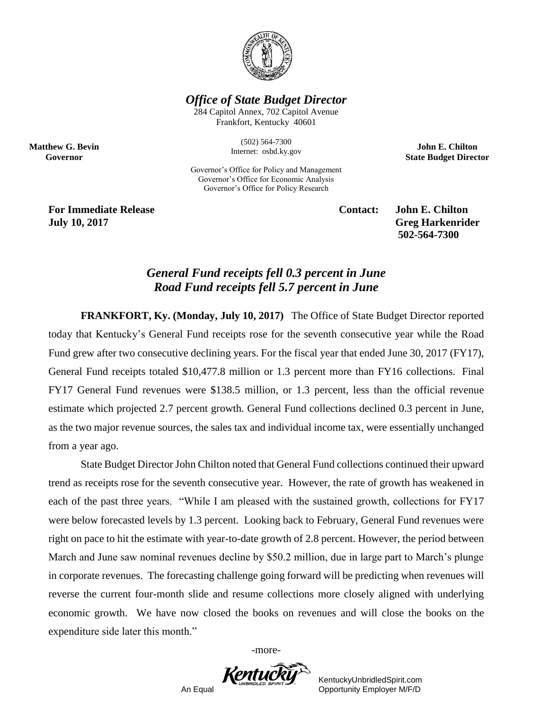

*Office of State Budget Director*

284 Capitol Annex, 702 Capitol Avenue Frankfort, Kentucky 40601

> (502) 564-7300 Internet: osbd.ky.gov

Governor's Office for Policy and Management Governor's Office for Economic Analysis Governor's Office for Policy Research

**John E. Chilton State Budget Director**

**For Immediate Release Contact: John E. Chilton July 10, 2017 Greg Harkenrider**

**Matthew G. Bevin Governor**

**502-564-7300** 

## *General Fund receipts fell 0.3 percent in June Road Fund receipts fell 5.7 percent in June*

**FRANKFORT, Ky. (Monday, July 10, 2017)** The Office of State Budget Director reported today that Kentucky's General Fund receipts rose for the seventh consecutive year while the Road Fund grew after two consecutive declining years. For the fiscal year that ended June 30, 2017 (FY17), General Fund receipts totaled \$10,477.8 million or 1.3 percent more than FY16 collections. Final FY17 General Fund revenues were \$138.5 million, or 1.3 percent, less than the official revenue estimate which projected 2.7 percent growth. General Fund collections declined 0.3 percent in June, as the two major revenue sources, the sales tax and individual income tax, were essentially unchanged from a year ago.

State Budget Director John Chilton noted that General Fund collections continued their upward trend as receipts rose for the seventh consecutive year. However, the rate of growth has weakened in each of the past three years. "While I am pleased with the sustained growth, collections for FY17 were below forecasted levels by 1.3 percent. Looking back to February, General Fund revenues were right on pace to hit the estimate with year-to-date growth of 2.8 percent. However, the period between March and June saw nominal revenues decline by \$50.2 million, due in large part to March's plunge in corporate revenues. The forecasting challenge going forward will be predicting when revenues will reverse the current four-month slide and resume collections more closely aligned with underlying economic growth. We have now closed the books on revenues and will close the books on the expenditure side later this month."

-more-



KentuckyUnbridledSpirit.com An Equal Opportunity Employer M/F/D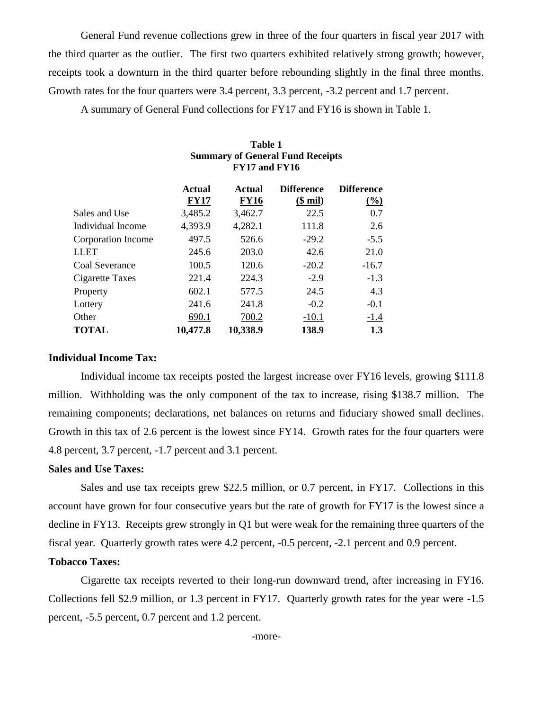General Fund revenue collections grew in three of the four quarters in fiscal year 2017 with the third quarter as the outlier. The first two quarters exhibited relatively strong growth; however, receipts took a downturn in the third quarter before rebounding slightly in the final three months. Growth rates for the four quarters were 3.4 percent, 3.3 percent, -3.2 percent and 1.7 percent.

A summary of General Fund collections for FY17 and FY16 is shown in Table 1.

|                    | FY17 and FY16 |               |                                |                     |  |
|--------------------|---------------|---------------|--------------------------------|---------------------|--|
|                    | <b>Actual</b> | <b>Actual</b> | <b>Difference</b>              | <b>Difference</b>   |  |
|                    | <b>FY17</b>   | <b>FY16</b>   | $(\underline{\$ \text{ mil})}$ | $\frac{(\%)}{(\%)}$ |  |
| Sales and Use      | 3,485.2       | 3,462.7       | 22.5                           | 0.7                 |  |
| Individual Income  | 4,393.9       | 4,282.1       | 111.8                          | 2.6                 |  |
| Corporation Income | 497.5         | 526.6         | $-29.2$                        | $-5.5$              |  |
| LLET               | 245.6         | 203.0         | 42.6                           | 21.0                |  |
| Coal Severance     | 100.5         | 120.6         | $-20.2$                        | $-16.7$             |  |
| Cigarette Taxes    | 221.4         | 224.3         | $-2.9$                         | $-1.3$              |  |
| Property           | 602.1         | 577.5         | 24.5                           | 4.3                 |  |
| Lottery            | 241.6         | 241.8         | $-0.2$                         | $-0.1$              |  |
| Other              | 690.1         | 700.2         | $-10.1$                        | $-1.4$              |  |
| <b>TOTAL</b>       | 10,477.8      | 10,338.9      | 138.9                          | 1.3                 |  |

# **Table 1 Summary of General Fund Receipts**

#### **Individual Income Tax:**

Individual income tax receipts posted the largest increase over FY16 levels, growing \$111.8 million. Withholding was the only component of the tax to increase, rising \$138.7 million. The remaining components; declarations, net balances on returns and fiduciary showed small declines. Growth in this tax of 2.6 percent is the lowest since FY14. Growth rates for the four quarters were 4.8 percent, 3.7 percent, -1.7 percent and 3.1 percent.

#### **Sales and Use Taxes:**

Sales and use tax receipts grew \$22.5 million, or 0.7 percent, in FY17. Collections in this account have grown for four consecutive years but the rate of growth for FY17 is the lowest since a decline in FY13. Receipts grew strongly in Q1 but were weak for the remaining three quarters of the fiscal year. Quarterly growth rates were 4.2 percent, -0.5 percent, -2.1 percent and 0.9 percent.

### **Tobacco Taxes:**

Cigarette tax receipts reverted to their long-run downward trend, after increasing in FY16. Collections fell \$2.9 million, or 1.3 percent in FY17. Quarterly growth rates for the year were -1.5 percent, -5.5 percent, 0.7 percent and 1.2 percent.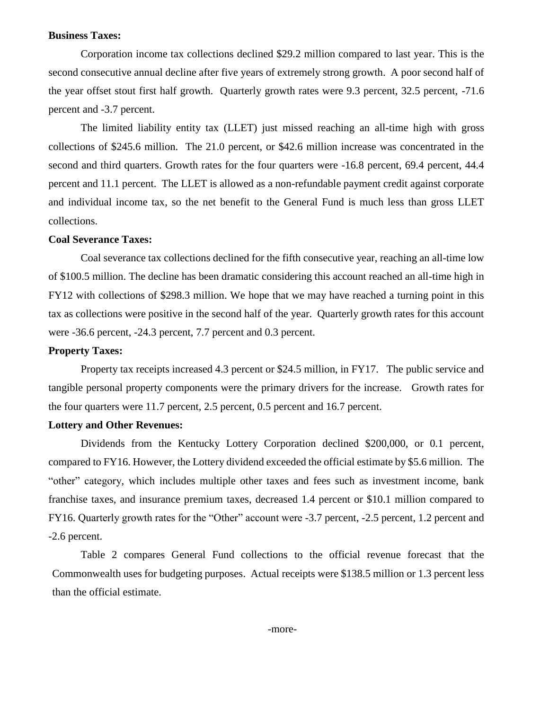#### **Business Taxes:**

Corporation income tax collections declined \$29.2 million compared to last year. This is the second consecutive annual decline after five years of extremely strong growth. A poor second half of the year offset stout first half growth. Quarterly growth rates were 9.3 percent, 32.5 percent, -71.6 percent and -3.7 percent.

The limited liability entity tax (LLET) just missed reaching an all-time high with gross collections of \$245.6 million. The 21.0 percent, or \$42.6 million increase was concentrated in the second and third quarters. Growth rates for the four quarters were -16.8 percent, 69.4 percent, 44.4 percent and 11.1 percent. The LLET is allowed as a non-refundable payment credit against corporate and individual income tax, so the net benefit to the General Fund is much less than gross LLET collections.

#### **Coal Severance Taxes:**

Coal severance tax collections declined for the fifth consecutive year, reaching an all-time low of \$100.5 million. The decline has been dramatic considering this account reached an all-time high in FY12 with collections of \$298.3 million. We hope that we may have reached a turning point in this tax as collections were positive in the second half of the year. Quarterly growth rates for this account were -36.6 percent, -24.3 percent, 7.7 percent and 0.3 percent.

#### **Property Taxes:**

Property tax receipts increased 4.3 percent or \$24.5 million, in FY17. The public service and tangible personal property components were the primary drivers for the increase. Growth rates for the four quarters were 11.7 percent, 2.5 percent, 0.5 percent and 16.7 percent.

#### **Lottery and Other Revenues:**

Dividends from the Kentucky Lottery Corporation declined \$200,000, or 0.1 percent, compared to FY16. However, the Lottery dividend exceeded the official estimate by \$5.6 million. The "other" category, which includes multiple other taxes and fees such as investment income, bank franchise taxes, and insurance premium taxes, decreased 1.4 percent or \$10.1 million compared to FY16. Quarterly growth rates for the "Other" account were -3.7 percent, -2.5 percent, 1.2 percent and -2.6 percent.

Table 2 compares General Fund collections to the official revenue forecast that the Commonwealth uses for budgeting purposes. Actual receipts were \$138.5 million or 1.3 percent less than the official estimate.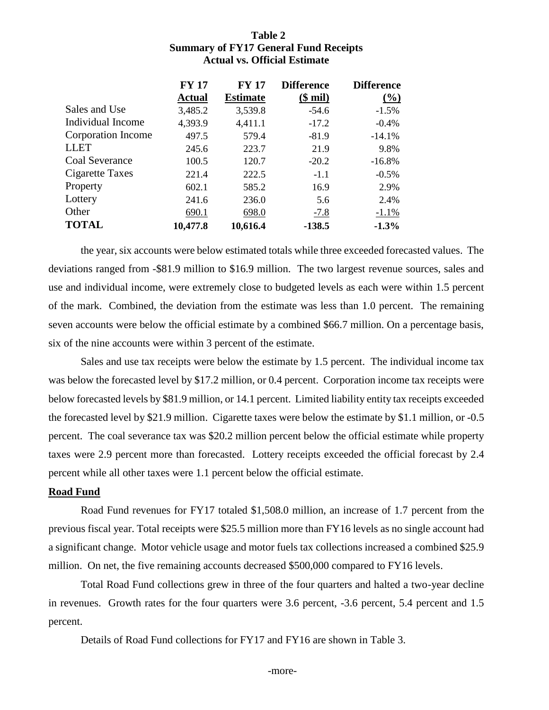#### **Table 2 Summary of FY17 General Fund Receipts Actual vs. Official Estimate**

|                    | <b>FY 17</b>  | <b>FY 17</b>    | <b>Difference</b> | <b>Difference</b> |
|--------------------|---------------|-----------------|-------------------|-------------------|
|                    | <b>Actual</b> | <b>Estimate</b> | $$$ mil)          | $(\%)$            |
| Sales and Use      | 3,485.2       | 3,539.8         | $-54.6$           | $-1.5%$           |
| Individual Income  | 4,393.9       | 4,411.1         | $-17.2$           | $-0.4\%$          |
| Corporation Income | 497.5         | 579.4           | $-81.9$           | $-14.1%$          |
| <b>LLET</b>        | 245.6         | 223.7           | 21.9              | 9.8%              |
| Coal Severance     | 100.5         | 120.7           | $-20.2$           | $-16.8%$          |
| Cigarette Taxes    | 221.4         | 222.5           | $-1.1$            | $-0.5\%$          |
| Property           | 602.1         | 585.2           | 16.9              | 2.9%              |
| Lottery            | 241.6         | 236.0           | 5.6               | 2.4%              |
| Other              | 690.1         | 698.0           | $-7.8$            | $-1.1%$           |
| <b>TOTAL</b>       | 10,477.8      | 10,616.4        | $-138.5$          | $-1.3%$           |

the year, six accounts were below estimated totals while three exceeded forecasted values. The deviations ranged from -\$81.9 million to \$16.9 million. The two largest revenue sources, sales and use and individual income, were extremely close to budgeted levels as each were within 1.5 percent of the mark. Combined, the deviation from the estimate was less than 1.0 percent. The remaining seven accounts were below the official estimate by a combined \$66.7 million. On a percentage basis, six of the nine accounts were within 3 percent of the estimate.

Sales and use tax receipts were below the estimate by 1.5 percent. The individual income tax was below the forecasted level by \$17.2 million, or 0.4 percent. Corporation income tax receipts were below forecasted levels by \$81.9 million, or 14.1 percent. Limited liability entity tax receipts exceeded the forecasted level by \$21.9 million. Cigarette taxes were below the estimate by \$1.1 million, or -0.5 percent. The coal severance tax was \$20.2 million percent below the official estimate while property taxes were 2.9 percent more than forecasted. Lottery receipts exceeded the official forecast by 2.4 percent while all other taxes were 1.1 percent below the official estimate.

#### **Road Fund**

Road Fund revenues for FY17 totaled \$1,508.0 million, an increase of 1.7 percent from the previous fiscal year. Total receipts were \$25.5 million more than FY16 levels as no single account had a significant change. Motor vehicle usage and motor fuels tax collections increased a combined \$25.9 million. On net, the five remaining accounts decreased \$500,000 compared to FY16 levels.

Total Road Fund collections grew in three of the four quarters and halted a two-year decline in revenues. Growth rates for the four quarters were 3.6 percent, -3.6 percent, 5.4 percent and 1.5 percent.

Details of Road Fund collections for FY17 and FY16 are shown in Table 3.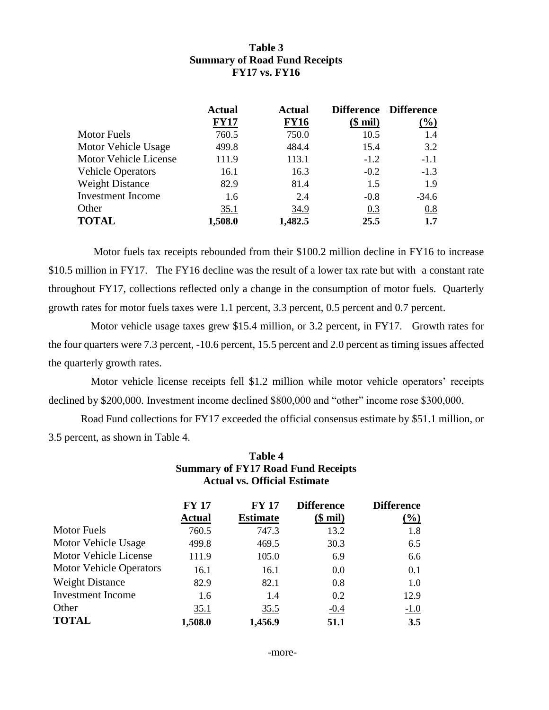## **Table 3 Summary of Road Fund Receipts FY17 vs. FY16**

|                          | <b>Actual</b> | <b>Actual</b> |          | Difference Difference |
|--------------------------|---------------|---------------|----------|-----------------------|
|                          | <b>FY17</b>   | <b>FY16</b>   | $$$ mil) | $(\%)$                |
| <b>Motor Fuels</b>       | 760.5         | 750.0         | 10.5     | 1.4                   |
| Motor Vehicle Usage      | 499.8         | 484.4         | 15.4     | 3.2                   |
| Motor Vehicle License    | 111.9         | 113.1         | $-1.2$   | $-1.1$                |
| <b>Vehicle Operators</b> | 16.1          | 16.3          | $-0.2$   | $-1.3$                |
| <b>Weight Distance</b>   | 82.9          | 81.4          | 1.5      | 1.9                   |
| <b>Investment Income</b> | 1.6           | 2.4           | $-0.8$   | $-34.6$               |
| Other                    | 35.1          | 34.9          | 0.3      | 0.8                   |
| <b>TOTAL</b>             | 1,508.0       | 1,482.5       | 25.5     | 1.7                   |

 Motor fuels tax receipts rebounded from their \$100.2 million decline in FY16 to increase \$10.5 million in FY17. The FY16 decline was the result of a lower tax rate but with a constant rate throughout FY17, collections reflected only a change in the consumption of motor fuels. Quarterly growth rates for motor fuels taxes were 1.1 percent, 3.3 percent, 0.5 percent and 0.7 percent.

Motor vehicle usage taxes grew \$15.4 million, or 3.2 percent, in FY17. Growth rates for the four quarters were 7.3 percent, -10.6 percent, 15.5 percent and 2.0 percent as timing issues affected the quarterly growth rates.

Motor vehicle license receipts fell \$1.2 million while motor vehicle operators' receipts declined by \$200,000. Investment income declined \$800,000 and "other" income rose \$300,000.

Road Fund collections for FY17 exceeded the official consensus estimate by \$51.1 million, or 3.5 percent, as shown in Table 4.

|                                | <b>Summary of FY17 Road Fund Receipts</b><br><b>Actual vs. Official Estimate</b> |                                 |                               |                             |
|--------------------------------|----------------------------------------------------------------------------------|---------------------------------|-------------------------------|-----------------------------|
|                                | <b>FY 17</b><br><b>Actual</b>                                                    | <b>FY 17</b><br><b>Estimate</b> | <b>Difference</b><br>$$$ mil) | <b>Difference</b><br>$(\%)$ |
| <b>Motor Fuels</b>             | 760.5                                                                            | 747.3                           | 13.2                          | 1.8                         |
| <b>Motor Vehicle Usage</b>     | 499.8                                                                            | 469.5                           | 30.3                          | 6.5                         |
| <b>Motor Vehicle License</b>   | 111.9                                                                            | 105.0                           | 6.9                           | 6.6                         |
| <b>Motor Vehicle Operators</b> | 16.1                                                                             | 16.1                            | 0.0                           | 0.1                         |
| <b>Weight Distance</b>         | 82.9                                                                             | 82.1                            | 0.8                           | 1.0                         |
| <b>Investment Income</b>       | 1.6                                                                              | 1.4                             | 0.2                           | 12.9                        |
| Other                          | 35.1                                                                             | 35.5                            | $-0.4$                        | $-1.0$                      |
| <b>TOTAL</b>                   | 1,508.0                                                                          | 1,456.9                         | 51.1                          | 3.5                         |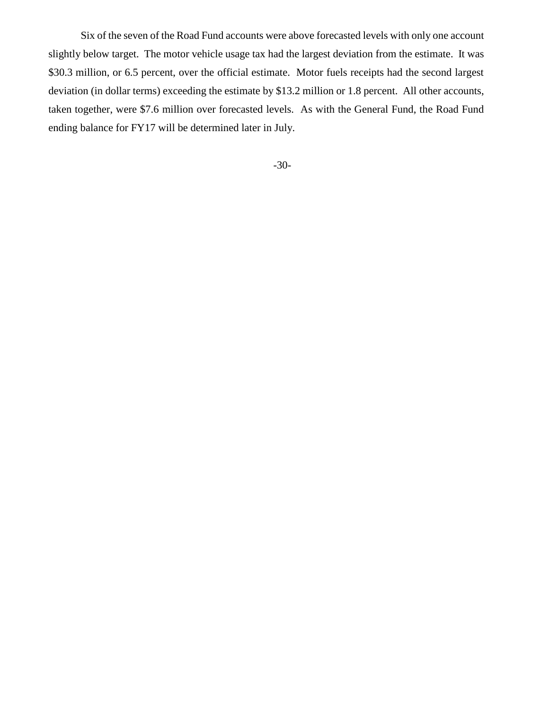Six of the seven of the Road Fund accounts were above forecasted levels with only one account slightly below target. The motor vehicle usage tax had the largest deviation from the estimate. It was \$30.3 million, or 6.5 percent, over the official estimate. Motor fuels receipts had the second largest deviation (in dollar terms) exceeding the estimate by \$13.2 million or 1.8 percent. All other accounts, taken together, were \$7.6 million over forecasted levels. As with the General Fund, the Road Fund ending balance for FY17 will be determined later in July.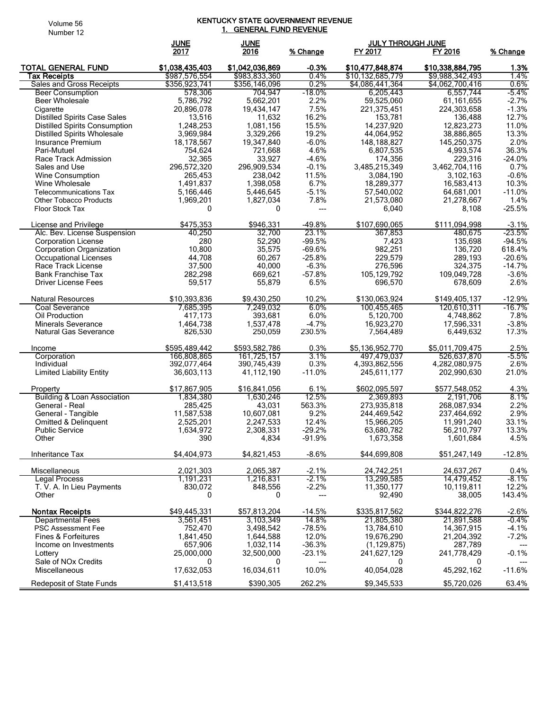#### Volume 56 Number 12

#### KENTUCKY STATE GOVERNMENT REVENUE <u>1. GENERAL FUND REVENUE</u>

|                                                          | <b>JUNE</b>               | <b>JUNE</b>               |                   | <b>JULY THROUGH JUNE</b>    |                             |                     |
|----------------------------------------------------------|---------------------------|---------------------------|-------------------|-----------------------------|-----------------------------|---------------------|
|                                                          | 2017                      | 2016                      | % Change          | FY 2017                     | FY 2016                     | % Change            |
| <b>TOTAL GENERAL FUND</b>                                | \$1,038,435,403           | \$1,042,036,869           | $-0.3%$           | \$10,477,848,874            | \$10,338,884,795            | 1.3%                |
| Tax Receipts                                             | \$987,576,554             | \$983,833,360             | 0.4%              | \$10,132,685,779            | \$9,988,342,493             | 1.4%                |
| Sales and Gross Receipts                                 | \$356,923,741             | \$356,146,096             | 0.2%              | \$4,086,441,364             | \$4,062,700,416             | 0.6%                |
| <b>Beer Consumption</b>                                  | 578,306                   | 704.947                   | $-18.0%$          | 6,205,443                   | 6,557,744                   | $-5.4%$             |
| Beer Wholesale                                           | 5,786,792                 | 5,662,201                 | 2.2%              | 59,525,060                  | 61,161,655                  | $-2.7%$             |
| Cigarette                                                | 20,896,078                | 19,434,147                | 7.5%              | 221,375,451                 | 224,303,658                 | $-1.3%$             |
| <b>Distilled Spirits Case Sales</b>                      | 13,516                    | 11,632                    | 16.2%             | 153,781                     | 136,488                     | 12.7%               |
| <b>Distilled Spirits Consumption</b>                     | 1,248,253                 | 1,081,156                 | 15.5%             | 14,237,920                  | 12,823,273                  | 11.0%               |
| <b>Distilled Spirits Wholesale</b>                       | 3,969,984                 | 3,329,266                 | 19.2%             | 44,064,952                  | 38,886,865                  | 13.3%               |
| Insurance Premium                                        | 18,178,567                | 19,347,840                | $-6.0%$           | 148, 188, 827               | 145,250,375                 | 2.0%                |
| Pari-Mutuel                                              | 754,624                   | 721,668                   | 4.6%              | 6,807,535                   | 4,993,574                   | 36.3%               |
| Race Track Admission                                     | 32,365                    | 33,927<br>296,909,534     | $-4.6%$           | 174,356                     | 229,316<br>3.462.704.116    | $-24.0%$            |
| Sales and Use<br><b>Wine Consumption</b>                 | 296,572,320<br>265,453    | 238,042                   | $-0.1%$<br>11.5%  | 3,485,215,349<br>3,084,190  | 3,102,163                   | 0.7%<br>$-0.6%$     |
| Wine Wholesale                                           | 1,491,837                 | 1,398,058                 | 6.7%              | 18,289,377                  | 16,583,413                  | 10.3%               |
| <b>Telecommunications Tax</b>                            | 5,166,446                 | 5,446,645                 | $-5.1%$           | 57,540,002                  | 64,681,001                  | $-11.0%$            |
| <b>Other Tobacco Products</b>                            | 1,969,201                 | 1,827,034                 | 7.8%              | 21,573,080                  | 21,278,667                  | 1.4%                |
| <b>Floor Stock Tax</b>                                   | 0                         | 0                         | ---               | 6,040                       | 8.108                       | $-25.5%$            |
|                                                          |                           |                           |                   |                             |                             |                     |
| License and Privilege                                    | \$475,353                 | \$946,331                 | $-49.8%$          | \$107,690,065               | \$111,094,998               | $-3.1%$             |
| Alc. Bev. License Suspension                             | 40,250                    | 32,700                    | 23.1%             | 367,853                     | 480,675                     | $-23.5%$            |
| <b>Corporation License</b>                               | 280                       | 52,290                    | $-99.5%$          | 7,423                       | 135.698                     | $-94.5%$            |
| Corporation Organization                                 | 10,800                    | 35,575                    | $-69.6%$          | 982,251                     | 136,720                     | 618.4%              |
| Occupational Licenses                                    | 44,708                    | 60,267                    | $-25.8%$          | 229,579                     | 289,193                     | $-20.6%$            |
| Race Track License                                       | 37,500                    | 40,000                    | $-6.3%$           | 276,596                     | 324,375                     | $-14.7%$            |
| <b>Bank Franchise Tax</b>                                | 282,298                   | 669,621                   | $-57.8%$          | 105,129,792                 | 109,049,728                 | $-3.6%$             |
| Driver License Fees                                      | 59,517                    | 55,879                    | 6.5%              | 696,570                     | 678,609                     | 2.6%                |
| <b>Natural Resources</b>                                 | \$10,393,836              | \$9,430,250               | 10.2%             | \$130,063,924               | \$149,405,137               | $-12.9%$            |
| Coal Severance                                           | 7,685,395                 | 7,249,032                 | 6.0%              | 100,455,465                 | 120,610,311                 | $-16.7%$            |
| Oil Production                                           | 417,173                   | 393,681                   | 6.0%              | 5,120,700                   | 4,748,862                   | 7.8%                |
| <b>Minerals Severance</b>                                | 1,464,738                 | 1,537,478                 | $-4.7%$           | 16,923,270                  | 17,596,331                  | $-3.8%$             |
| Natural Gas Severance                                    | 826,530                   | 250,059                   | 230.5%            | 7,564,489                   | 6,449,632                   | 17.3%               |
| Income                                                   | \$595,489,442             | \$593,582,786             | 0.3%              | \$5,136,952,770             | \$5,011,709,475             | 2.5%                |
| Corporation                                              | 166,808,865               | 161,725,157               | 3.1%              | 497,479,037                 | 526,637,870                 | $-5.5%$             |
| Individual                                               | 392,077,464               | 390,745,439               | 0.3%              | 4,393,862,556               | 4,282,080,975               | 2.6%                |
| <b>Limited Liability Entity</b>                          | 36,603,113                | 41,112,190                | $-11.0%$          | 245,611,177                 | 202,990,630                 | 21.0%               |
|                                                          |                           | \$16.841.056              |                   |                             |                             |                     |
| Property                                                 | \$17,867,905              | 1,630,246                 | 6.1%<br>12.5%     | \$602,095,597<br>2,369,893  | \$577,548,052<br>2,191,706  | 4.3%<br>8.1%        |
| <b>Building &amp; Loan Association</b><br>General - Real | 1,834,380<br>285,425      | 43,031                    | 563.3%            | 273,935,818                 | 268,087,934                 | 2.2%                |
| General - Tangible                                       | 11,587,538                | 10,607,081                | 9.2%              | 244,469,542                 | 237,464,692                 | 2.9%                |
| Omitted & Delinquent                                     | 2,525,201                 | 2,247,533                 | 12.4%             | 15,966,205                  | 11,991,240                  | 33.1%               |
| <b>Public Service</b>                                    | 1,634,972                 | 2,308,331                 | $-29.2%$          | 63,680,782                  | 56,210,797                  | 13.3%               |
| Other                                                    | 390                       | 4.834                     | $-91.9%$          | 1,673,358                   | 1.601.684                   | 4.5%                |
|                                                          |                           |                           |                   |                             |                             |                     |
| Inheritance Tax                                          | \$4,404,973               | \$4,821,453               | $-8.6%$           | \$44,699,808                | \$51,247,149                | $-12.8%$            |
| Miscellaneous                                            | 2,021,303                 | 2,065,387                 | $-2.1%$           | 24,742,251                  | 24,637,267                  | 0.4%                |
| <b>Legal Process</b>                                     | 1,191,231                 | 1,216,831                 | -2.1%             | 13,299,585                  | 14.479.452                  | -8.1%               |
| T. V. A. In Lieu Payments                                | 830,072                   | 848,556                   | $-2.2%$           | 11,350,177                  | 10,119,811                  | 12.2%               |
| Other                                                    | 0                         | 0                         | $\overline{a}$    | 92,490                      | 38,005                      | 143.4%              |
|                                                          |                           |                           |                   |                             |                             |                     |
| <b>Nontax Receipts</b><br><b>Departmental Fees</b>       | \$49,445,331<br>3,561,451 | \$57.813.204<br>3,103,349 | $-14.5%$<br>14.8% | \$335.817.562<br>21,805,380 | \$344,822,276<br>21,891,588 | $-2.6%$<br>$-0.4\%$ |
| <b>PSC Assessment Fee</b>                                | 752,470                   | 3,498,542                 | $-78.5%$          | 13,784,610                  | 14,367,915                  | $-4.1%$             |
| <b>Fines &amp; Forfeitures</b>                           | 1,841,450                 | 1,644,588                 | 12.0%             | 19,676,290                  | 21,204,392                  | $-7.2%$             |
| Income on Investments                                    | 657,906                   | 1,032,114                 | $-36.3%$          | (1, 129, 875)               | 287,789                     | $---$               |
| Lottery                                                  | 25,000,000                | 32,500,000                | $-23.1%$          | 241,627,129                 | 241,778,429                 | $-0.1%$             |
| Sale of NOx Credits                                      | 0                         | 0                         | ---               | 0                           | 0                           |                     |
| Miscellaneous                                            | 17,632,053                | 16,034,611                | 10.0%             | 40,054,028                  | 45,292,162                  | $-11.6%$            |
| Redeposit of State Funds                                 | \$1,413,518               | \$390,305                 | 262.2%            | \$9,345,533                 | \$5,720,026                 | 63.4%               |
|                                                          |                           |                           |                   |                             |                             |                     |